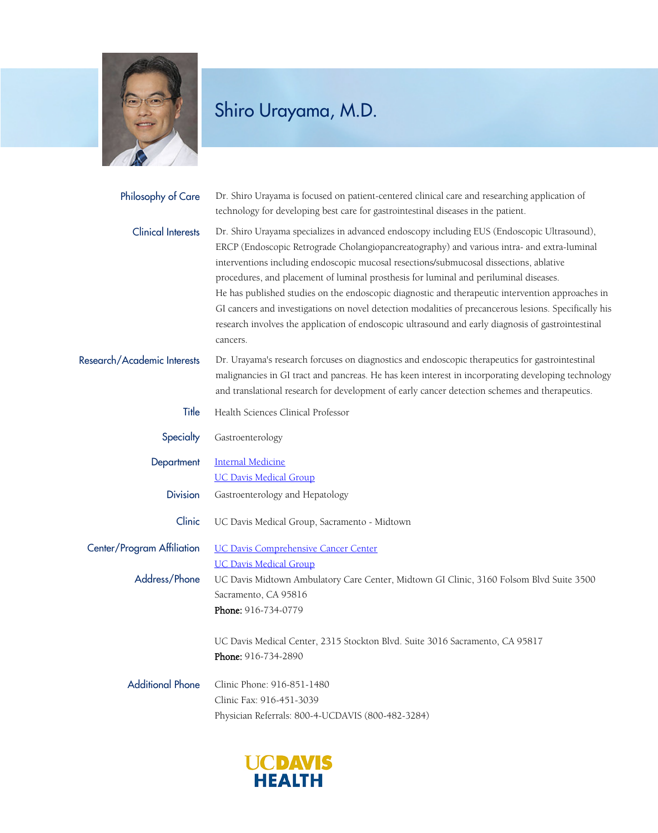

| Philosophy of Care          | Dr. Shiro Urayama is focused on patient-centered clinical care and researching application of<br>technology for developing best care for gastrointestinal diseases in the patient.                                                                                                                                                                                                                                                                                                                                                                                                                                                                                                                         |
|-----------------------------|------------------------------------------------------------------------------------------------------------------------------------------------------------------------------------------------------------------------------------------------------------------------------------------------------------------------------------------------------------------------------------------------------------------------------------------------------------------------------------------------------------------------------------------------------------------------------------------------------------------------------------------------------------------------------------------------------------|
| <b>Clinical Interests</b>   | Dr. Shiro Urayama specializes in advanced endoscopy including EUS (Endoscopic Ultrasound),<br>ERCP (Endoscopic Retrograde Cholangiopancreatography) and various intra- and extra-luminal<br>interventions including endoscopic mucosal resections/submucosal dissections, ablative<br>procedures, and placement of luminal prosthesis for luminal and periluminal diseases.<br>He has published studies on the endoscopic diagnostic and therapeutic intervention approaches in<br>GI cancers and investigations on novel detection modalities of precancerous lesions. Specifically his<br>research involves the application of endoscopic ultrasound and early diagnosis of gastrointestinal<br>cancers. |
| Research/Academic Interests | Dr. Urayama's research forcuses on diagnostics and endoscopic therapeutics for gastrointestinal<br>malignancies in GI tract and pancreas. He has keen interest in incorporating developing technology<br>and translational research for development of early cancer detection schemes and therapeutics.                                                                                                                                                                                                                                                                                                                                                                                                    |
| Title                       | Health Sciences Clinical Professor                                                                                                                                                                                                                                                                                                                                                                                                                                                                                                                                                                                                                                                                         |
| Specialty                   | Gastroenterology                                                                                                                                                                                                                                                                                                                                                                                                                                                                                                                                                                                                                                                                                           |
| Department                  | <b>Internal Medicine</b><br><b>UC Davis Medical Group</b>                                                                                                                                                                                                                                                                                                                                                                                                                                                                                                                                                                                                                                                  |
| <b>Division</b>             | Gastroenterology and Hepatology                                                                                                                                                                                                                                                                                                                                                                                                                                                                                                                                                                                                                                                                            |
| Clinic                      | UC Davis Medical Group, Sacramento - Midtown                                                                                                                                                                                                                                                                                                                                                                                                                                                                                                                                                                                                                                                               |
| Center/Program Affiliation  | <b>UC Davis Comprehensive Cancer Center</b><br><b>UC Davis Medical Group</b>                                                                                                                                                                                                                                                                                                                                                                                                                                                                                                                                                                                                                               |
| Address/Phone               | UC Davis Midtown Ambulatory Care Center, Midtown GI Clinic, 3160 Folsom Blvd Suite 3500<br>Sacramento, CA 95816<br>Phone: 916-734-0779                                                                                                                                                                                                                                                                                                                                                                                                                                                                                                                                                                     |
|                             | UC Davis Medical Center, 2315 Stockton Blvd. Suite 3016 Sacramento, CA 95817<br>Phone: 916-734-2890                                                                                                                                                                                                                                                                                                                                                                                                                                                                                                                                                                                                        |
| <b>Additional Phone</b>     | Clinic Phone: 916-851-1480<br>Clinic Fax: 916-451-3039<br>Physician Referrals: 800-4-UCDAVIS (800-482-3284)                                                                                                                                                                                                                                                                                                                                                                                                                                                                                                                                                                                                |
|                             |                                                                                                                                                                                                                                                                                                                                                                                                                                                                                                                                                                                                                                                                                                            |

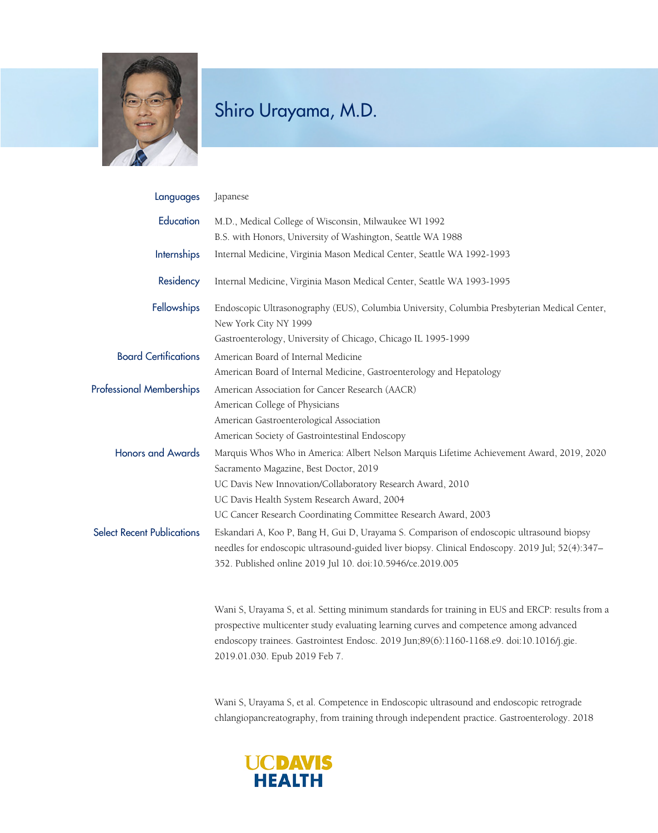

| Languages                         | Japanese                                                                                                                                                                                    |
|-----------------------------------|---------------------------------------------------------------------------------------------------------------------------------------------------------------------------------------------|
| Education                         | M.D., Medical College of Wisconsin, Milwaukee WI 1992                                                                                                                                       |
|                                   | B.S. with Honors, University of Washington, Seattle WA 1988                                                                                                                                 |
| <b>Internships</b>                | Internal Medicine, Virginia Mason Medical Center, Seattle WA 1992-1993                                                                                                                      |
| Residency                         | Internal Medicine, Virginia Mason Medical Center, Seattle WA 1993-1995                                                                                                                      |
| <b>Fellowships</b>                | Endoscopic Ultrasonography (EUS), Columbia University, Columbia Presbyterian Medical Center,<br>New York City NY 1999                                                                       |
|                                   | Gastroenterology, University of Chicago, Chicago IL 1995-1999                                                                                                                               |
| <b>Board Certifications</b>       | American Board of Internal Medicine                                                                                                                                                         |
|                                   | American Board of Internal Medicine, Gastroenterology and Hepatology                                                                                                                        |
| <b>Professional Memberships</b>   | American Association for Cancer Research (AACR)                                                                                                                                             |
|                                   | American College of Physicians                                                                                                                                                              |
|                                   | American Gastroenterological Association                                                                                                                                                    |
|                                   | American Society of Gastrointestinal Endoscopy                                                                                                                                              |
| <b>Honors and Awards</b>          | Marquis Whos Who in America: Albert Nelson Marquis Lifetime Achievement Award, 2019, 2020                                                                                                   |
|                                   | Sacramento Magazine, Best Doctor, 2019                                                                                                                                                      |
|                                   | UC Davis New Innovation/Collaboratory Research Award, 2010                                                                                                                                  |
|                                   | UC Davis Health System Research Award, 2004                                                                                                                                                 |
|                                   | UC Cancer Research Coordinating Committee Research Award, 2003                                                                                                                              |
| <b>Select Recent Publications</b> | Eskandari A, Koo P, Bang H, Gui D, Urayama S. Comparison of endoscopic ultrasound biopsy<br>needles for endoscopic ultrasound-guided liver biopsy. Clinical Endoscopy. 2019 Jul; 52(4):347- |
|                                   | 352. Published online 2019 Jul 10. doi:10.5946/ce.2019.005                                                                                                                                  |
|                                   |                                                                                                                                                                                             |

Wani S, Urayama S, et al. Setting minimum standards for training in EUS and ERCP: results from a prospective multicenter study evaluating learning curves and competence among advanced endoscopy trainees. Gastrointest Endosc. 2019 Jun;89(6):1160-1168.e9. doi:10.1016/j.gie. 2019.01.030. Epub 2019 Feb 7.

Wani S, Urayama S, et al. Competence in Endoscopic ultrasound and endoscopic retrograde chlangiopancreatography, from training through independent practice. Gastroenterology. 2018

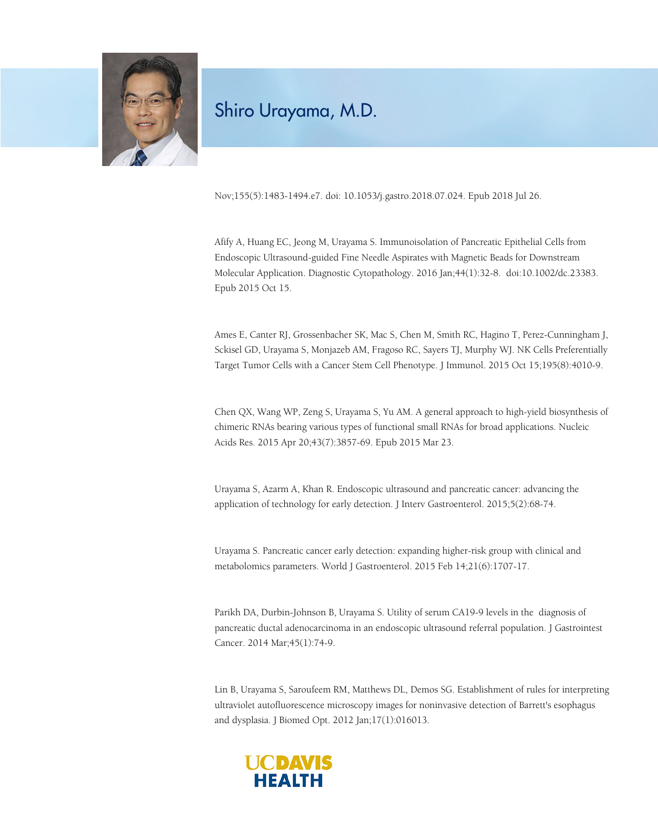

Nov;155(5):1483-1494.e7. doi: 10.1053/j.gastro.2018.07.024. Epub 2018 Jul 26.

Afify A, Huang EC, Jeong M, Urayama S. Immunoisolation of Pancreatic Epithelial Cells from Endoscopic Ultrasound-guided Fine Needle Aspirates with Magnetic Beads for Downstream Molecular Application. Diagnostic Cytopathology. 2016 Jan;44(1):32-8. doi:10.1002/dc.23383. Epub 2015 Oct 15.

Ames E, Canter RJ, Grossenbacher SK, Mac S, Chen M, Smith RC, Hagino T, Perez-Cunningham J, Sckisel GD, Urayama S, Monjazeb AM, Fragoso RC, Sayers TJ, Murphy WJ. NK Cells Preferentially Target Tumor Cells with a Cancer Stem Cell Phenotype. J Immunol. 2015 Oct 15;195(8):4010-9.

Chen QX, Wang WP, Zeng S, Urayama S, Yu AM. A general approach to high-yield biosynthesis of chimeric RNAs bearing various types of functional small RNAs for broad applications. Nucleic Acids Res. 2015 Apr 20;43(7):3857-69. Epub 2015 Mar 23.

Urayama S, Azarm A, Khan R. Endoscopic ultrasound and pancreatic cancer: advancing the application of technology for early detection. J Interv Gastroenterol. 2015;5(2):68-74.

Urayama S. Pancreatic cancer early detection: expanding higher-risk group with clinical and metabolomics parameters. World J Gastroenterol. 2015 Feb 14;21(6):1707-17.

Parikh DA, Durbin-Johnson B, Urayama S. Utility of serum CA19-9 levels in the diagnosis of pancreatic ductal adenocarcinoma in an endoscopic ultrasound referral population. J Gastrointest Cancer. 2014 Mar;45(1):74-9.

Lin B, Urayama S, Saroufeem RM, Matthews DL, Demos SG. Establishment of rules for interpreting ultraviolet autofluorescence microscopy images for noninvasive detection of Barrett's esophagus and dysplasia. J Biomed Opt. 2012 Jan;17(1):016013.